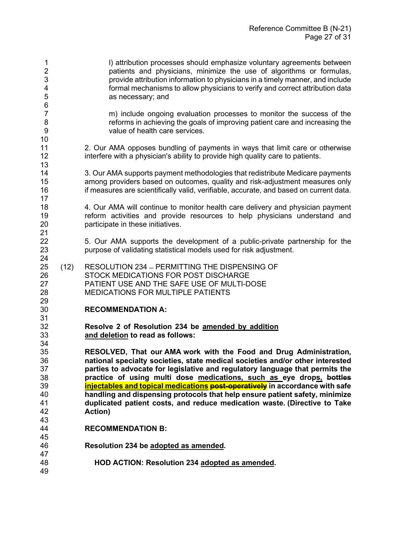1 l) attribution processes should emphasize voluntary agreements between<br>2 contractional particians and physicians in minimize the use of algorithms or formulas. patients and physicians, minimize the use of algorithms or formulas, provide attribution information to physicians in a timely manner, and include formal mechanisms to allow physicians to verify and correct attribution data as necessary; and 6<br>7 7 a complied include ongoing evaluation processes to monitor the success of the<br>8 a corresponsies in achieving the goals of improving patient care and increasing the reforms in achieving the goals of improving patient care and increasing the value of health care services. 2. Our AMA opposes bundling of payments in ways that limit care or otherwise interfere with a physician's ability to provide high quality care to patients. 3. Our AMA supports payment methodologies that redistribute Medicare payments among providers based on outcomes, quality and risk-adjustment measures only if measures are scientifically valid, verifiable, accurate, and based on current data. 4. Our AMA will continue to monitor health care delivery and physician payment reform activities and provide resources to help physicians understand and participate in these initiatives. 21<br>22 5. Our AMA supports the development of a public-private partnership for the purpose of validating statistical models used for risk adjustment. 24<br>25 (12) RESOLUTION 234 ̶ PERMITTING THE DISPENSING OF STOCK MEDICATIONS FOR POST DISCHARGE PATIENT USE AND THE SAFE USE OF MULTI-DOSE MEDICATIONS FOR MULTIPLE PATIENTS **RECOMMENDATION A:** 31<br>32 **Resolve 2 of Resolution 234 be amended by addition and deletion to read as follows:** 34<br>35 **RESOLVED, That our AMA work with the Food and Drug Administration, national specialty societies, state medical societies and/or other interested parties to advocate for legislative and regulatory language that permits the practice of using multi dose medications, such as eye drops, bottles injectables and topical medications post-operatively** in accordance with safe **handling and dispensing protocols that help ensure patient safety, minimize duplicated patient costs, and reduce medication waste. (Directive to Take Action) RECOMMENDATION B: Resolution 234 be adopted as amended. HOD ACTION: Resolution 234 adopted as amended.**